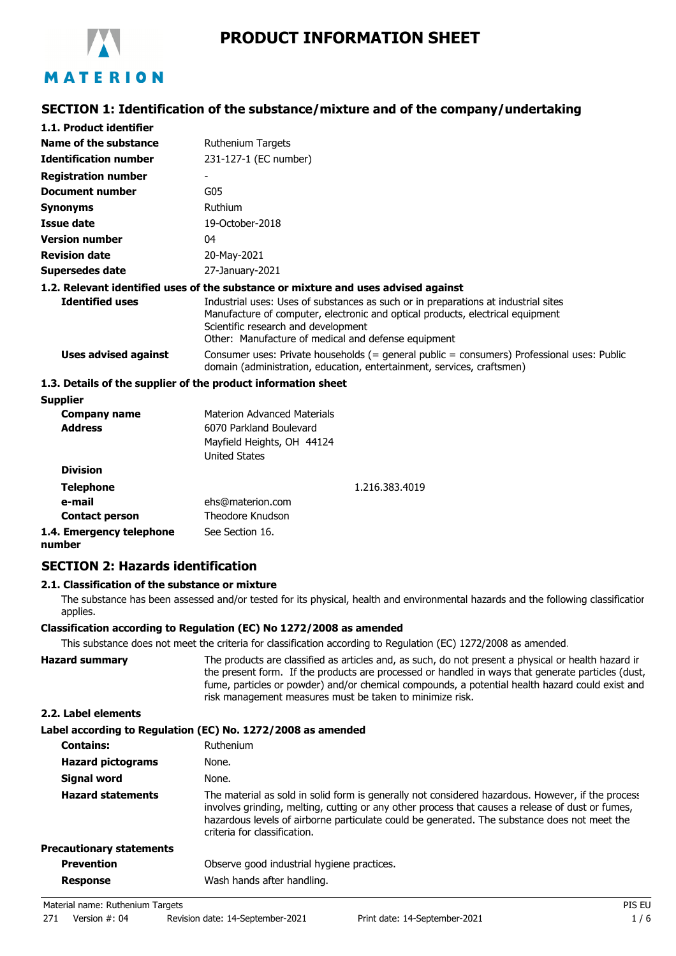

# **SECTION 1: Identification of the substance/mixture and of the company/undertaking**

| 1.1. Product identifier      |                                                                                                                                                                                                                                                                    |  |  |
|------------------------------|--------------------------------------------------------------------------------------------------------------------------------------------------------------------------------------------------------------------------------------------------------------------|--|--|
| Name of the substance        | <b>Ruthenium Targets</b>                                                                                                                                                                                                                                           |  |  |
| <b>Identification number</b> | 231-127-1 (EC number)                                                                                                                                                                                                                                              |  |  |
| <b>Registration number</b>   |                                                                                                                                                                                                                                                                    |  |  |
| <b>Document number</b>       | G05                                                                                                                                                                                                                                                                |  |  |
| <b>Synonyms</b>              | Ruthium                                                                                                                                                                                                                                                            |  |  |
| Issue date                   | 19-October-2018                                                                                                                                                                                                                                                    |  |  |
| <b>Version number</b>        | 04                                                                                                                                                                                                                                                                 |  |  |
| <b>Revision date</b>         | 20-May-2021                                                                                                                                                                                                                                                        |  |  |
| Supersedes date              | 27-January-2021                                                                                                                                                                                                                                                    |  |  |
|                              | 1.2. Relevant identified uses of the substance or mixture and uses advised against                                                                                                                                                                                 |  |  |
| <b>Identified uses</b>       | Industrial uses: Uses of substances as such or in preparations at industrial sites<br>Manufacture of computer, electronic and optical products, electrical equipment<br>Scientific research and development<br>Other: Manufacture of medical and defense equipment |  |  |
| Uses advised against         | Consumer uses: Private households $(=$ general public $=$ consumers) Professional uses: Public<br>domain (administration, education, entertainment, services, craftsmen)                                                                                           |  |  |
|                              | 1.3. Details of the supplier of the product information sheet                                                                                                                                                                                                      |  |  |
| <b>Supplier</b>              |                                                                                                                                                                                                                                                                    |  |  |
| Company name                 | <b>Materion Advanced Materials</b>                                                                                                                                                                                                                                 |  |  |

| Company name                       | Materion Advanced Materials |                |
|------------------------------------|-----------------------------|----------------|
| <b>Address</b>                     | 6070 Parkland Boulevard     |                |
|                                    | Mayfield Heights, OH 44124  |                |
|                                    | <b>United States</b>        |                |
| <b>Division</b>                    |                             |                |
| <b>Telephone</b>                   |                             | 1.216.383.4019 |
| e-mail                             | ehs@materion.com            |                |
| <b>Contact person</b>              | Theodore Knudson            |                |
| 1.4. Emergency telephone<br>number | See Section 16.             |                |

## **SECTION 2: Hazards identification**

### **2.1. Classification of the substance or mixture**

The substance has been assessed and/or tested for its physical, health and environmental hazards and the following classification applies.

### **Classification according to Regulation (EC) No 1272/2008 as amended**

This substance does not meet the criteria for classification according to Regulation (EC) 1272/2008 as amended.

| Hazard summarv | The products are classified as articles and, as such, do not present a physical or health hazard ir |
|----------------|-----------------------------------------------------------------------------------------------------|
|                | the present form. If the products are processed or handled in ways that generate particles (dust,   |
|                | fume, particles or powder) and/or chemical compounds, a potential health hazard could exist and     |
|                | risk management measures must be taken to minimize risk.                                            |
|                |                                                                                                     |

### **2.2. Label elements**

## **Label according to Regulation (EC) No. 1272/2008 as amended**

| <b>Contains:</b>                | Ruthenium                                                                                                                                                                                                                                                                                                                             |
|---------------------------------|---------------------------------------------------------------------------------------------------------------------------------------------------------------------------------------------------------------------------------------------------------------------------------------------------------------------------------------|
| <b>Hazard pictograms</b>        | None.                                                                                                                                                                                                                                                                                                                                 |
| Signal word                     | None.                                                                                                                                                                                                                                                                                                                                 |
| <b>Hazard statements</b>        | The material as sold in solid form is generally not considered hazardous. However, if the process<br>involves grinding, melting, cutting or any other process that causes a release of dust or fumes,<br>hazardous levels of airborne particulate could be generated. The substance does not meet the<br>criteria for classification. |
| <b>Precautionary statements</b> |                                                                                                                                                                                                                                                                                                                                       |
| <b>Prevention</b>               | Observe good industrial hygiene practices.                                                                                                                                                                                                                                                                                            |
| <b>Response</b>                 | Wash hands after handling.                                                                                                                                                                                                                                                                                                            |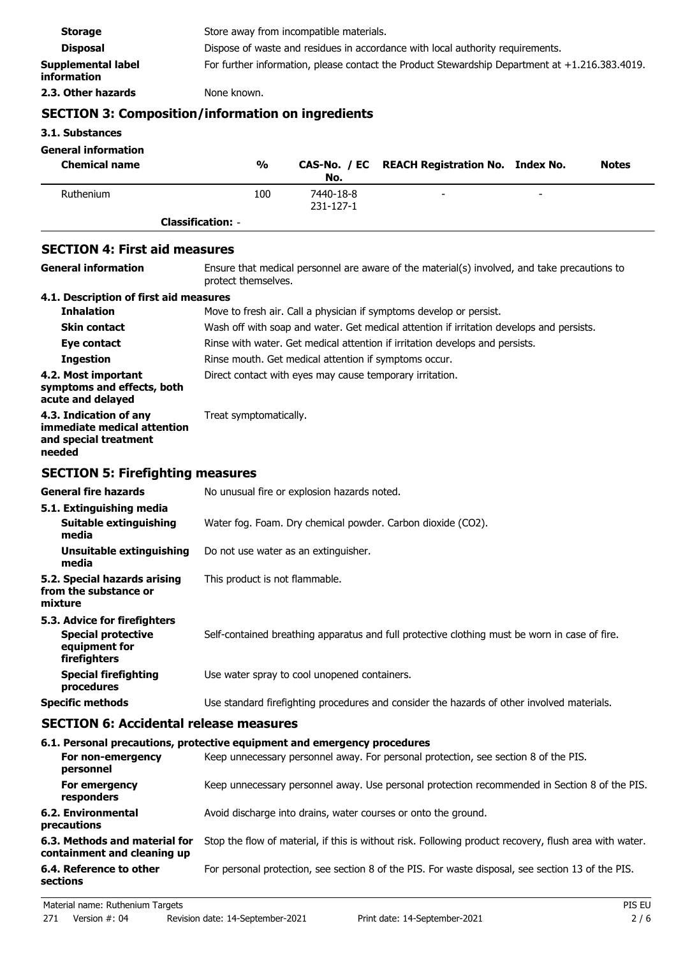| <b>SECTION 3: Composition/information on ingredients</b> |                                                                                                   |  |
|----------------------------------------------------------|---------------------------------------------------------------------------------------------------|--|
| 2.3. Other hazards                                       | None known.                                                                                       |  |
| <b>Supplemental label</b><br>information                 | For further information, please contact the Product Stewardship Department at $+1.216.383.4019$ . |  |
| <b>Disposal</b>                                          | Dispose of waste and residues in accordance with local authority requirements.                    |  |
| <b>Storage</b>                                           | Store away from incompatible materials.                                                           |  |
|                                                          |                                                                                                   |  |

**3.1. Substances General information**

| General Information<br><b>Chemical name</b> | $\frac{0}{0}$            | No.       | CAS-No. / EC REACH Registration No. Index No. |                          | <b>Notes</b> |
|---------------------------------------------|--------------------------|-----------|-----------------------------------------------|--------------------------|--------------|
| Ruthenium                                   | 100                      | 7440-18-8 | $\overline{\phantom{0}}$                      | $\overline{\phantom{0}}$ |              |
|                                             |                          | 231-127-1 |                                               |                          |              |
|                                             | <b>Classification: -</b> |           |                                               |                          |              |

## **SECTION 4: First aid measures**

| <b>General information</b>                                                               | Ensure that medical personnel are aware of the material(s) involved, and take precautions to<br>protect themselves. |  |  |
|------------------------------------------------------------------------------------------|---------------------------------------------------------------------------------------------------------------------|--|--|
| 4.1. Description of first aid measures                                                   |                                                                                                                     |  |  |
| <b>Inhalation</b>                                                                        | Move to fresh air. Call a physician if symptoms develop or persist.                                                 |  |  |
| <b>Skin contact</b>                                                                      | Wash off with soap and water. Get medical attention if irritation develops and persists.                            |  |  |
| Eye contact                                                                              | Rinse with water. Get medical attention if irritation develops and persists.                                        |  |  |
| <b>Ingestion</b>                                                                         | Rinse mouth. Get medical attention if symptoms occur.                                                               |  |  |
| 4.2. Most important<br>symptoms and effects, both<br>acute and delayed                   | Direct contact with eyes may cause temporary irritation.                                                            |  |  |
| 4.3. Indication of any<br>immediate medical attention<br>and special treatment<br>needed | Treat symptomatically.                                                                                              |  |  |
| <b>SECTION 5: Firefighting measures</b>                                                  |                                                                                                                     |  |  |
| <b>General fire hazards</b>                                                              | No unusual fire or explosion hazards noted.                                                                         |  |  |
| 5.1. Extinguishing media<br>Suitable extinguishing<br>media                              | Water fog. Foam. Dry chemical powder. Carbon dioxide (CO2).                                                         |  |  |
| <b>Unsuitable extinguishing</b><br>media                                                 | Do not use water as an extinguisher.                                                                                |  |  |
| 5.2. Special hazards arising<br>from the substance or<br>mixture                         | This product is not flammable.                                                                                      |  |  |
| 5.3. Advice for firefighters                                                             |                                                                                                                     |  |  |
| <b>Special protective</b><br>equipment for<br>firefighters                               | Self-contained breathing apparatus and full protective clothing must be worn in case of fire.                       |  |  |
| <b>Special firefighting</b><br>procedures                                                | Use water spray to cool unopened containers.                                                                        |  |  |
| <b>Specific methods</b>                                                                  | Use standard firefighting procedures and consider the hazards of other involved materials.                          |  |  |
| <b>SECTION 6: Accidental release measures</b>                                            |                                                                                                                     |  |  |

### **6.1. Personal precautions, protective equipment and emergency procedures**

| For non-emergency<br>personnel                               | Keep unnecessary personnel away. For personal protection, see section 8 of the PIS.                    |
|--------------------------------------------------------------|--------------------------------------------------------------------------------------------------------|
| For emergency<br>responders                                  | Keep unnecessary personnel away. Use personal protection recommended in Section 8 of the PIS.          |
| 6.2. Environmental<br>precautions                            | Avoid discharge into drains, water courses or onto the ground.                                         |
| 6.3. Methods and material for<br>containment and cleaning up | Stop the flow of material, if this is without risk. Following product recovery, flush area with water. |
| 6.4. Reference to other<br>sections                          | For personal protection, see section 8 of the PIS. For waste disposal, see section 13 of the PIS.      |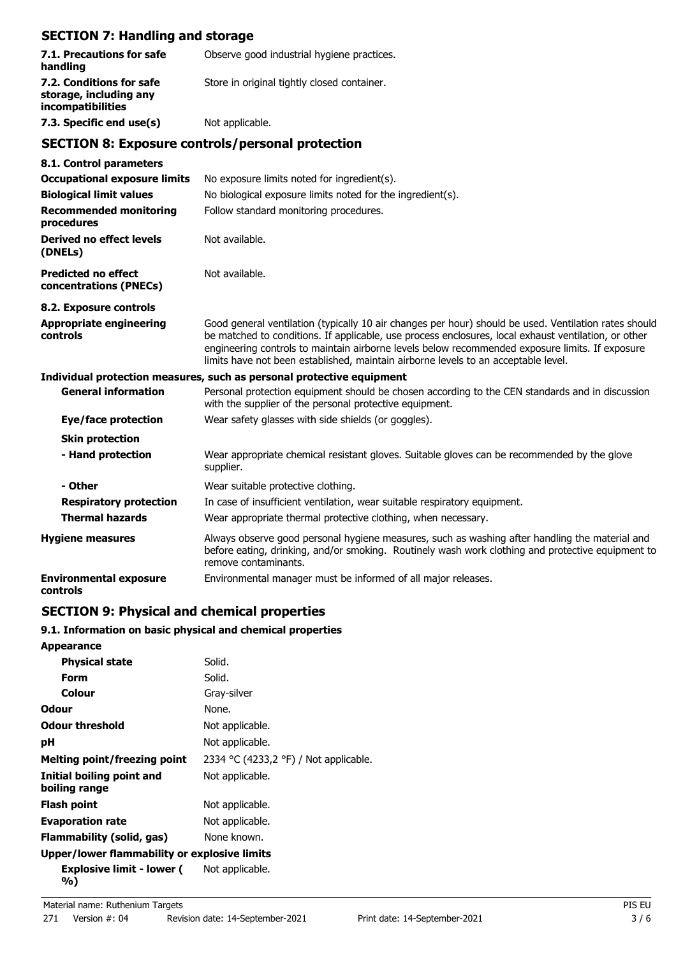# **SECTION 7: Handling and storage**

| 7.1. Precautions for safe<br>handling                                   | Observe good industrial hygiene practices.                                                                                                                                                                                                                                                                                                                                                             |  |  |
|-------------------------------------------------------------------------|--------------------------------------------------------------------------------------------------------------------------------------------------------------------------------------------------------------------------------------------------------------------------------------------------------------------------------------------------------------------------------------------------------|--|--|
| 7.2. Conditions for safe<br>storage, including any<br>incompatibilities | Store in original tightly closed container.                                                                                                                                                                                                                                                                                                                                                            |  |  |
| 7.3. Specific end use(s)                                                | Not applicable.                                                                                                                                                                                                                                                                                                                                                                                        |  |  |
|                                                                         | <b>SECTION 8: Exposure controls/personal protection</b>                                                                                                                                                                                                                                                                                                                                                |  |  |
| 8.1. Control parameters                                                 |                                                                                                                                                                                                                                                                                                                                                                                                        |  |  |
| <b>Occupational exposure limits</b>                                     | No exposure limits noted for ingredient(s).                                                                                                                                                                                                                                                                                                                                                            |  |  |
| <b>Biological limit values</b>                                          | No biological exposure limits noted for the ingredient(s).                                                                                                                                                                                                                                                                                                                                             |  |  |
| <b>Recommended monitoring</b><br>procedures                             | Follow standard monitoring procedures.                                                                                                                                                                                                                                                                                                                                                                 |  |  |
| <b>Derived no effect levels</b><br>(DNELs)                              | Not available.                                                                                                                                                                                                                                                                                                                                                                                         |  |  |
| <b>Predicted no effect</b><br>concentrations (PNECs)                    | Not available.                                                                                                                                                                                                                                                                                                                                                                                         |  |  |
| 8.2. Exposure controls                                                  |                                                                                                                                                                                                                                                                                                                                                                                                        |  |  |
| <b>Appropriate engineering</b><br>controls                              | Good general ventilation (typically 10 air changes per hour) should be used. Ventilation rates should<br>be matched to conditions. If applicable, use process enclosures, local exhaust ventilation, or other<br>engineering controls to maintain airborne levels below recommended exposure limits. If exposure<br>limits have not been established, maintain airborne levels to an acceptable level. |  |  |
|                                                                         | Individual protection measures, such as personal protective equipment                                                                                                                                                                                                                                                                                                                                  |  |  |
| <b>General information</b>                                              | Personal protection equipment should be chosen according to the CEN standards and in discussion<br>with the supplier of the personal protective equipment.                                                                                                                                                                                                                                             |  |  |
| Eye/face protection                                                     | Wear safety glasses with side shields (or goggles).                                                                                                                                                                                                                                                                                                                                                    |  |  |
| <b>Skin protection</b>                                                  |                                                                                                                                                                                                                                                                                                                                                                                                        |  |  |
| - Hand protection                                                       | Wear appropriate chemical resistant gloves. Suitable gloves can be recommended by the glove<br>supplier.                                                                                                                                                                                                                                                                                               |  |  |
| - Other                                                                 | Wear suitable protective clothing.                                                                                                                                                                                                                                                                                                                                                                     |  |  |
| <b>Respiratory protection</b>                                           | In case of insufficient ventilation, wear suitable respiratory equipment.                                                                                                                                                                                                                                                                                                                              |  |  |
| <b>Thermal hazards</b>                                                  | Wear appropriate thermal protective clothing, when necessary.                                                                                                                                                                                                                                                                                                                                          |  |  |
| <b>Hygiene measures</b>                                                 | Always observe good personal hygiene measures, such as washing after handling the material and<br>before eating, drinking, and/or smoking. Routinely wash work clothing and protective equipment to<br>remove contaminants.                                                                                                                                                                            |  |  |
| <b>Environmental exposure</b><br>controls                               | Environmental manager must be informed of all major releases.                                                                                                                                                                                                                                                                                                                                          |  |  |

# **SECTION 9: Physical and chemical properties**

## **9.1. Information on basic physical and chemical properties**

| <b>Appearance</b>                            |                                       |
|----------------------------------------------|---------------------------------------|
| <b>Physical state</b>                        | Solid.                                |
| Form                                         | Solid.                                |
| Colour                                       | Gray-silver                           |
| Odour                                        | None.                                 |
| <b>Odour threshold</b>                       | Not applicable.                       |
| рH                                           | Not applicable.                       |
| <b>Melting point/freezing point</b>          | 2334 °C (4233,2 °F) / Not applicable. |
| Initial boiling point and<br>boiling range   | Not applicable.                       |
| Flash point                                  | Not applicable.                       |
| <b>Evaporation rate</b>                      | Not applicable.                       |
| <b>Flammability (solid, gas)</b>             | None known.                           |
| Upper/lower flammability or explosive limits |                                       |
| <b>Explosive limit - lower (</b><br>%)       | Not applicable.                       |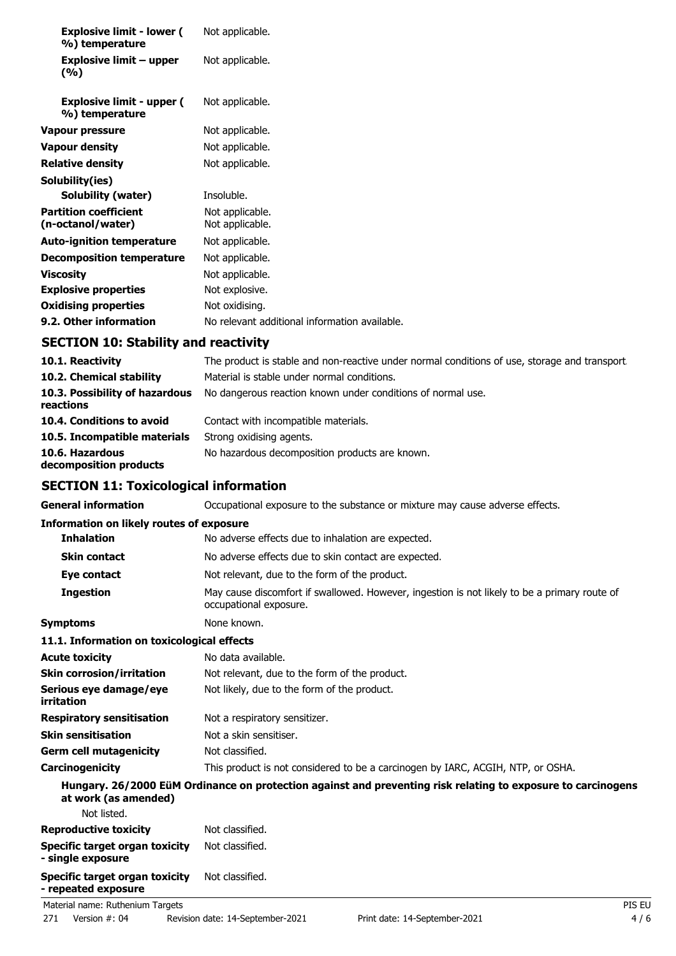| <b>Explosive limit - lower (</b><br>%) temperature | Not applicable.                               |
|----------------------------------------------------|-----------------------------------------------|
| Explosive limit $-$ upper<br>(%)                   | Not applicable.                               |
| <b>Explosive limit - upper (</b><br>%) temperature | Not applicable.                               |
| Vapour pressure                                    | Not applicable.                               |
| <b>Vapour density</b>                              | Not applicable.                               |
| <b>Relative density</b>                            | Not applicable.                               |
| Solubility(ies)                                    |                                               |
| Solubility (water)                                 | Insoluble.                                    |
| <b>Partition coefficient</b><br>(n-octanol/water)  | Not applicable.<br>Not applicable.            |
| <b>Auto-ignition temperature</b>                   | Not applicable.                               |
| Decomposition temperature                          | Not applicable.                               |
| <b>Viscosity</b>                                   | Not applicable.                               |
| <b>Explosive properties</b>                        | Not explosive.                                |
| <b>Oxidising properties</b>                        | Not oxidising.                                |
| 9.2. Other information                             | No relevant additional information available. |

# **SECTION 10: Stability and reactivity**

| 10.1. Reactivity                            | The product is stable and non-reactive under normal conditions of use, storage and transport. |
|---------------------------------------------|-----------------------------------------------------------------------------------------------|
| 10.2. Chemical stability                    | Material is stable under normal conditions.                                                   |
| 10.3. Possibility of hazardous<br>reactions | No dangerous reaction known under conditions of normal use.                                   |
| 10.4. Conditions to avoid                   | Contact with incompatible materials.                                                          |
| 10.5. Incompatible materials                | Strong oxidising agents.                                                                      |
| 10.6. Hazardous<br>decomposition products   | No hazardous decomposition products are known.                                                |

# **SECTION 11: Toxicological information**

| <b>General information</b>                      | Occupational exposure to the substance or mixture may cause adverse effects.                                           |
|-------------------------------------------------|------------------------------------------------------------------------------------------------------------------------|
| <b>Information on likely routes of exposure</b> |                                                                                                                        |
| <b>Inhalation</b>                               | No adverse effects due to inhalation are expected.                                                                     |
| <b>Skin contact</b>                             | No adverse effects due to skin contact are expected.                                                                   |
| Eye contact                                     | Not relevant, due to the form of the product.                                                                          |
| <b>Ingestion</b>                                | May cause discomfort if swallowed. However, ingestion is not likely to be a primary route of<br>occupational exposure. |
| <b>Symptoms</b>                                 | None known.                                                                                                            |
| 11.1. Information on toxicological effects      |                                                                                                                        |
| <b>Acute toxicity</b>                           | No data available.                                                                                                     |
| <b>Skin corrosion/irritation</b>                | Not relevant, due to the form of the product.                                                                          |
| Serious eye damage/eye<br>irritation            | Not likely, due to the form of the product.                                                                            |
| <b>Respiratory sensitisation</b>                | Not a respiratory sensitizer.                                                                                          |
| <b>Skin sensitisation</b>                       | Not a skin sensitiser.                                                                                                 |
| <b>Germ cell mutagenicity</b>                   | Not classified.                                                                                                        |
| Carcinogenicity                                 | This product is not considered to be a carcinogen by IARC, ACGIH, NTP, or OSHA.                                        |
| at work (as amended)                            | Hungary. 26/2000 EüM Ordinance on protection against and preventing risk relating to exposure to carcinogens           |

| Not listed.                                                  |                 |        |
|--------------------------------------------------------------|-----------------|--------|
| <b>Reproductive toxicity</b>                                 | Not classified. |        |
| Specific target organ toxicity<br>- single exposure          | Not classified. |        |
| <b>Specific target organ toxicity</b><br>- repeated exposure | Not classified. |        |
| Material name: Ruthenium Targets                             |                 | PIS EU |
|                                                              |                 |        |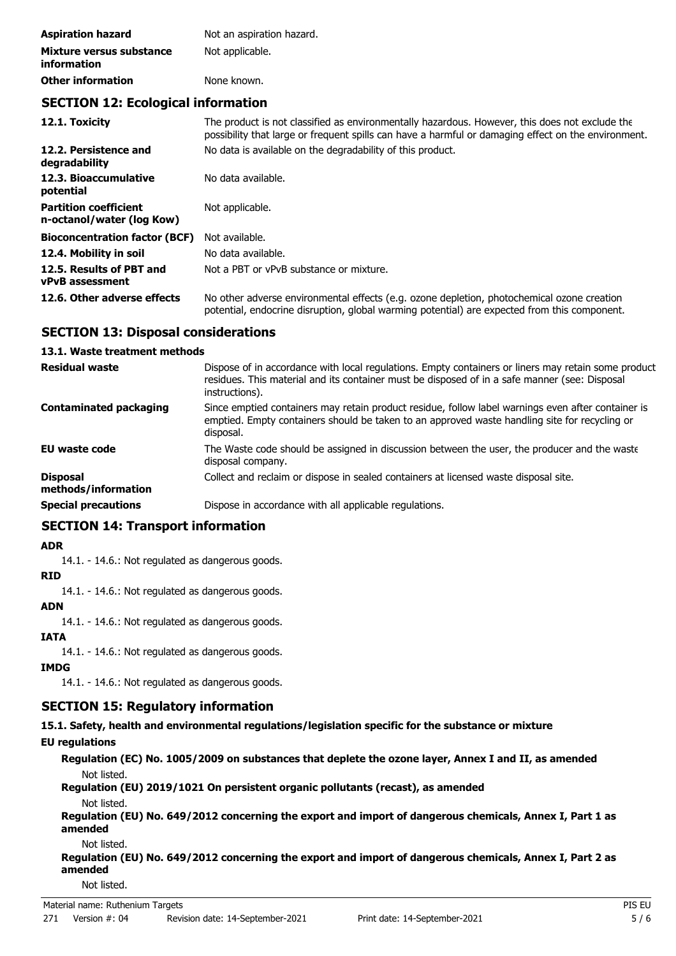| <b>Aspiration hazard</b>                | Not an aspiration hazard. |  |
|-----------------------------------------|---------------------------|--|
| Mixture versus substance<br>information | Not applicable.           |  |
| <b>Other information</b>                | None known.               |  |

## **SECTION 12: Ecological information**

| 12.1. Toxicity                                            | The product is not classified as environmentally hazardous. However, this does not exclude the<br>possibility that large or frequent spills can have a harmful or damaging effect on the environment. |
|-----------------------------------------------------------|-------------------------------------------------------------------------------------------------------------------------------------------------------------------------------------------------------|
| 12.2. Persistence and<br>degradability                    | No data is available on the degradability of this product.                                                                                                                                            |
| 12.3. Bioaccumulative<br>potential                        | No data available.                                                                                                                                                                                    |
| <b>Partition coefficient</b><br>n-octanol/water (log Kow) | Not applicable.                                                                                                                                                                                       |
| <b>Bioconcentration factor (BCF)</b>                      | Not available.                                                                                                                                                                                        |
| 12.4. Mobility in soil                                    | No data available.                                                                                                                                                                                    |
| 12.5. Results of PBT and<br><b>vPvB</b> assessment        | Not a PBT or vPvB substance or mixture.                                                                                                                                                               |
| 12.6. Other adverse effects                               | No other adverse environmental effects (e.g. ozone depletion, photochemical ozone creation<br>potential, endocrine disruption, global warming potential) are expected from this component.            |

# **SECTION 13: Disposal considerations**

### **13.1. Waste treatment methods**

| <b>Residual waste</b>                  | Dispose of in accordance with local regulations. Empty containers or liners may retain some product<br>residues. This material and its container must be disposed of in a safe manner (see: Disposal<br>instructions). |
|----------------------------------------|------------------------------------------------------------------------------------------------------------------------------------------------------------------------------------------------------------------------|
| <b>Contaminated packaging</b>          | Since emptied containers may retain product residue, follow label warnings even after container is<br>emptied. Empty containers should be taken to an approved waste handling site for recycling or<br>disposal.       |
| <b>EU waste code</b>                   | The Waste code should be assigned in discussion between the user, the producer and the waste<br>disposal company.                                                                                                      |
| <b>Disposal</b><br>methods/information | Collect and reclaim or dispose in sealed containers at licensed waste disposal site.                                                                                                                                   |
| <b>Special precautions</b>             | Dispose in accordance with all applicable regulations.                                                                                                                                                                 |

# **SECTION 14: Transport information**

#### **ADR**

14.1. - 14.6.: Not regulated as dangerous goods.

### **RID**

14.1. - 14.6.: Not regulated as dangerous goods.

### **ADN**

14.1. - 14.6.: Not regulated as dangerous goods.

### **IATA**

14.1. - 14.6.: Not regulated as dangerous goods.

### **IMDG**

14.1. - 14.6.: Not regulated as dangerous goods.

## **SECTION 15: Regulatory information**

**15.1. Safety, health and environmental regulations/legislation specific for the substance or mixture**

#### **EU regulations**

**Regulation (EC) No. 1005/2009 on substances that deplete the ozone layer, Annex I and II, as amended** Not listed.

#### **Regulation (EU) 2019/1021 On persistent organic pollutants (recast), as amended** Not listed.

**Regulation (EU) No. 649/2012 concerning the export and import of dangerous chemicals, Annex I, Part 1 as amended**

Not listed.

**Regulation (EU) No. 649/2012 concerning the export and import of dangerous chemicals, Annex I, Part 2 as amended**

Not listed.